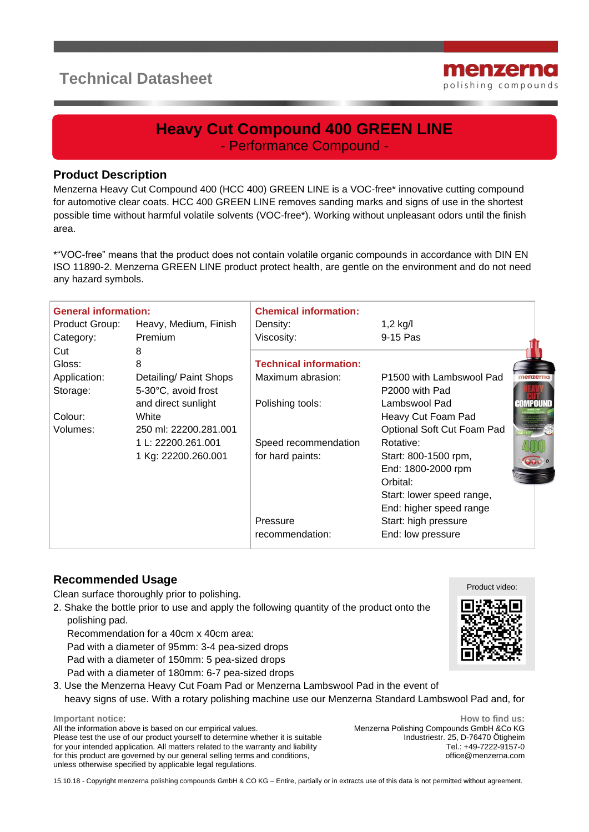# **Technical Datasheet**



## **Heavy Cut Compound 400 GREEN LINE** - Performance Compound -

#### **Product Description**

Menzerna Heavy Cut Compound 400 (HCC 400) GREEN LINE is a VOC-free\* innovative cutting compound for automotive clear coats. HCC 400 GREEN LINE removes sanding marks and signs of use in the shortest possible time without harmful volatile solvents (VOC-free\*). Working without unpleasant odors until the finish area.

\*"VOC-free" means that the product does not contain volatile organic compounds in accordance with DIN EN ISO 11890-2. Menzerna GREEN LINE product protect health, are gentle on the environment and do not need any hazard symbols.

| <b>General information:</b> |                        | <b>Chemical information:</b>  |                            |          |  |
|-----------------------------|------------------------|-------------------------------|----------------------------|----------|--|
| Product Group:              | Heavy, Medium, Finish  | Density:                      | $1,2$ kg/l                 |          |  |
| Category:                   | Premium                | Viscosity:                    | 9-15 Pas                   |          |  |
| Cut                         | 8                      |                               |                            |          |  |
| Gloss:                      | 8                      | <b>Technical information:</b> |                            |          |  |
| Application:                | Detailing/ Paint Shops | Maximum abrasion:             | P1500 with Lambswool Pad   | nenzerna |  |
| Storage:                    | 5-30°C, avoid frost    |                               | P <sub>2000</sub> with Pad |          |  |
|                             | and direct sunlight    | Polishing tools:              | Lambswool Pad              | MPNUND   |  |
| Colour:                     | White                  |                               | Heavy Cut Foam Pad         |          |  |
| Volumes:                    | 250 ml: 22200.281.001  |                               | Optional Soft Cut Foam Pad |          |  |
|                             | 1 L: 22200.261.001     | Speed recommendation          | Rotative:                  |          |  |
|                             | 1 Kg: 22200.260.001    | for hard paints:              | Start: 800-1500 rpm,       |          |  |
|                             |                        |                               | End: 1800-2000 rpm         |          |  |
|                             |                        |                               | Orbital:                   |          |  |
|                             |                        |                               | Start: lower speed range,  |          |  |
|                             |                        |                               | End: higher speed range    |          |  |
|                             |                        | Pressure                      | Start: high pressure       |          |  |
|                             |                        | recommendation:               | End: low pressure          |          |  |
|                             |                        |                               |                            |          |  |

### **Recommended Usage**

Clean surface thoroughly prior to polishing.

- 2. Shake the bottle prior to use and apply the following quantity of the product onto the polishing pad.
	- Recommendation for a 40cm x 40cm area:
	- Pad with a diameter of 95mm: 3-4 pea-sized drops
	- Pad with a diameter of 150mm: 5 pea-sized drops
	- Pad with a diameter of 180mm: 6-7 pea-sized drops
- 3. Use the Menzerna Heavy Cut Foam Pad or Menzerna Lambswool Pad in the event of heavy signs of use. With a rotary polishing machine use our Menzerna Standard Lambswool Pad and, for

**Important notice**:

All the information above is based on our empirical values. Please test the use of our product yourself to determine whether it is suitable for your intended application. All matters related to the warranty and liability for this product are governed by our general selling terms and conditions, unless otherwise specified by applicable legal regulations.

15.10.18 - Copyright menzerna polishing compounds GmbH & CO KG – Entire, partially or in extracts use of this data is not permitted without agreement.



**How to find us:**

Tel.: +49-7222-9157-0 office@menzerna.com

Menzerna Polishing Compounds GmbH &Co KG

Industriestr. 25, D-76470 Ötigheim